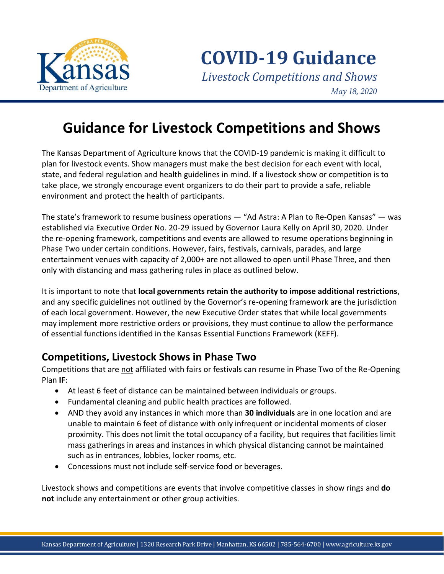

# **Guidance for Livestock Competitions and Shows**

The Kansas Department of Agriculture knows that the COVID-19 pandemic is making it difficult to plan for livestock events. Show managers must make the best decision for each event with local, state, and federal regulation and health guidelines in mind. If a livestock show or competition is to take place, we strongly encourage event organizers to do their part to provide a safe, reliable environment and protect the health of participants.

The state's framework to resume business operations — "Ad Astra: A Plan to Re-Open Kansas" — was established via Executive Order No. 20-29 issued by Governor Laura Kelly on April 30, 2020. Under the re-opening framework, competitions and events are allowed to resume operations beginning in Phase Two under certain conditions. However, fairs, festivals, carnivals, parades, and large entertainment venues with capacity of 2,000+ are not allowed to open until Phase Three, and then only with distancing and mass gathering rules in place as outlined below.

It is important to note that **local governments retain the authority to impose additional restrictions**, and any specific guidelines not outlined by the Governor's re-opening framework are the jurisdiction of each local government. However, the new Executive Order states that while local governments may implement more restrictive orders or provisions, they must continue to allow the performance of essential functions identified in the Kansas Essential Functions Framework (KEFF).

#### **Competitions, Livestock Shows in Phase Two**

Competitions that are not affiliated with fairs or festivals can resume in Phase Two of the Re-Opening Plan **IF**:

- At least 6 feet of distance can be maintained between individuals or groups.
- Fundamental cleaning and public health practices are followed.
- AND they avoid any instances in which more than **30 individuals** are in one location and are unable to maintain 6 feet of distance with only infrequent or incidental moments of closer proximity. This does not limit the total occupancy of a facility, but requires that facilities limit mass gatherings in areas and instances in which physical distancing cannot be maintained such as in entrances, lobbies, locker rooms, etc.
- Concessions must not include self-service food or beverages.

Livestock shows and competitions are events that involve competitive classes in show rings and **do not** include any entertainment or other group activities.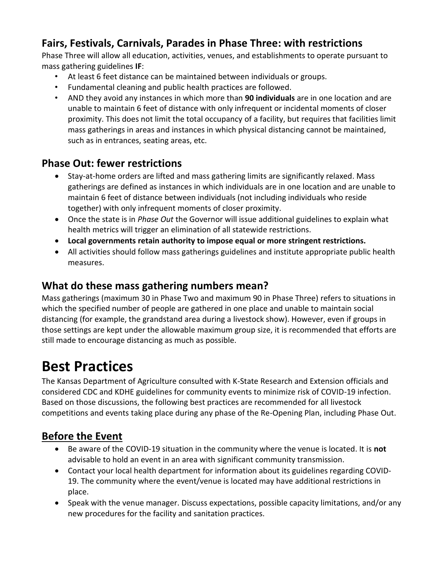# **Fairs, Festivals, Carnivals, Parades in Phase Three: with restrictions**

Phase Three will allow all education, activities, venues, and establishments to operate pursuant to mass gathering guidelines **IF**:

- At least 6 feet distance can be maintained between individuals or groups.
- Fundamental cleaning and public health practices are followed.
- AND they avoid any instances in which more than **90 individuals** are in one location and are unable to maintain 6 feet of distance with only infrequent or incidental moments of closer proximity. This does not limit the total occupancy of a facility, but requires that facilities limit mass gatherings in areas and instances in which physical distancing cannot be maintained, such as in entrances, seating areas, etc.

### **Phase Out: fewer restrictions**

- Stay-at-home orders are lifted and mass gathering limits are significantly relaxed. Mass gatherings are defined as instances in which individuals are in one location and are unable to maintain 6 feet of distance between individuals (not including individuals who reside together) with only infrequent moments of closer proximity.
- Once the state is in *Phase Out* the Governor will issue additional guidelines to explain what health metrics will trigger an elimination of all statewide restrictions.
- **Local governments retain authority to impose equal or more stringent restrictions.**
- All activities should follow mass gatherings guidelines and institute appropriate public health measures.

### **What do these mass gathering numbers mean?**

Mass gatherings (maximum 30 in Phase Two and maximum 90 in Phase Three) refers to situations in which the specified number of people are gathered in one place and unable to maintain social distancing (for example, the grandstand area during a livestock show). However, even if groups in those settings are kept under the allowable maximum group size, it is recommended that efforts are still made to encourage distancing as much as possible.

# **Best Practices**

The Kansas Department of Agriculture consulted with K-State Research and Extension officials and considered CDC and KDHE guidelines for community events to minimize risk of COVID-19 infection. Based on those discussions, the following best practices are recommended for all livestock competitions and events taking place during any phase of the Re-Opening Plan, including Phase Out.

# **Before the Event**

- Be aware of the COVID-19 situation in the community where the venue is located. It is **not** advisable to hold an event in an area with significant community transmission.
- Contact your local health department for information about its guidelines regarding COVID-19. The community where the event/venue is located may have additional restrictions in place.
- Speak with the venue manager. Discuss expectations, possible capacity limitations, and/or any new procedures for the facility and sanitation practices.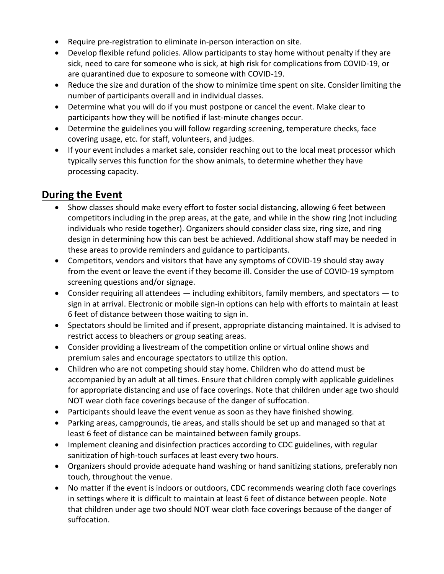- Require pre-registration to eliminate in-person interaction on site.
- Develop flexible refund policies. Allow participants to stay home without penalty if they are sick, need to care for someone who is sick, at high risk for complications from COVID-19, or are quarantined due to exposure to someone with COVID-19.
- Reduce the size and duration of the show to minimize time spent on site. Consider limiting the number of participants overall and in individual classes.
- Determine what you will do if you must postpone or cancel the event. Make clear to participants how they will be notified if last-minute changes occur.
- Determine the guidelines you will follow regarding screening, temperature checks, face covering usage, etc. for staff, volunteers, and judges.
- If your event includes a market sale, consider reaching out to the local meat processor which typically serves this function for the show animals, to determine whether they have processing capacity.

# **During the Event**

- Show classes should make every effort to foster social distancing, allowing 6 feet between competitors including in the prep areas, at the gate, and while in the show ring (not including individuals who reside together). Organizers should consider class size, ring size, and ring design in determining how this can best be achieved. Additional show staff may be needed in these areas to provide reminders and guidance to participants.
- Competitors, vendors and visitors that have any symptoms of COVID-19 should stay away from the event or leave the event if they become ill. Consider the use of COVID-19 symptom screening questions and/or signage.
- Consider requiring all attendees including exhibitors, family members, and spectators to sign in at arrival. Electronic or mobile sign-in options can help with efforts to maintain at least 6 feet of distance between those waiting to sign in.
- Spectators should be limited and if present, appropriate distancing maintained. It is advised to restrict access to bleachers or group seating areas.
- Consider providing a livestream of the competition online or virtual online shows and premium sales and encourage spectators to utilize this option.
- Children who are not competing should stay home. Children who do attend must be accompanied by an adult at all times. Ensure that children comply with applicable guidelines for appropriate distancing and use of face coverings. Note that children under age two should NOT wear cloth face coverings because of the danger of suffocation.
- Participants should leave the event venue as soon as they have finished showing.
- Parking areas, campgrounds, tie areas, and stalls should be set up and managed so that at least 6 feet of distance can be maintained between family groups.
- Implement cleaning and disinfection practices according to CDC guidelines, with regular sanitization of high-touch surfaces at least every two hours.
- Organizers should provide adequate hand washing or hand sanitizing stations, preferably non touch, throughout the venue.
- No matter if the event is indoors or outdoors, CDC recommends wearing cloth face coverings in settings where it is difficult to maintain at least 6 feet of distance between people. Note that children under age two should NOT wear cloth face coverings because of the danger of suffocation.